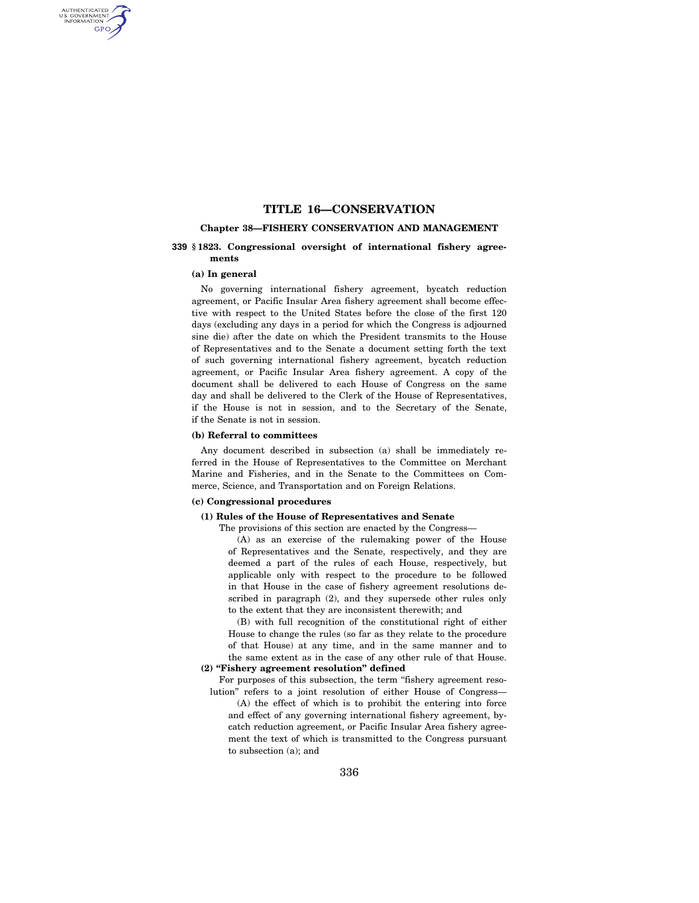# **TITLE 16—CONSERVATION**

#### **Chapter 38—FISHERY CONSERVATION AND MANAGEMENT**

### **339 § 1823. Congressional oversight of international fishery agreements**

# **(a) In general**

AUTHENTICATED<br>U.S. GOVERNMENT<br>INFORMATION GPO

> No governing international fishery agreement, bycatch reduction agreement, or Pacific Insular Area fishery agreement shall become effective with respect to the United States before the close of the first 120 days (excluding any days in a period for which the Congress is adjourned sine die) after the date on which the President transmits to the House of Representatives and to the Senate a document setting forth the text of such governing international fishery agreement, bycatch reduction agreement, or Pacific Insular Area fishery agreement. A copy of the document shall be delivered to each House of Congress on the same day and shall be delivered to the Clerk of the House of Representatives, if the House is not in session, and to the Secretary of the Senate, if the Senate is not in session.

#### **(b) Referral to committees**

Any document described in subsection (a) shall be immediately referred in the House of Representatives to the Committee on Merchant Marine and Fisheries, and in the Senate to the Committees on Commerce, Science, and Transportation and on Foreign Relations.

### **(c) Congressional procedures**

#### **(1) Rules of the House of Representatives and Senate**

The provisions of this section are enacted by the Congress—

(A) as an exercise of the rulemaking power of the House of Representatives and the Senate, respectively, and they are deemed a part of the rules of each House, respectively, but applicable only with respect to the procedure to be followed in that House in the case of fishery agreement resolutions described in paragraph (2), and they supersede other rules only to the extent that they are inconsistent therewith; and

(B) with full recognition of the constitutional right of either House to change the rules (so far as they relate to the procedure of that House) at any time, and in the same manner and to the same extent as in the case of any other rule of that House.

# **(2) ''Fishery agreement resolution'' defined**

For purposes of this subsection, the term "fishery agreement resolution'' refers to a joint resolution of either House of Congress—

(A) the effect of which is to prohibit the entering into force and effect of any governing international fishery agreement, bycatch reduction agreement, or Pacific Insular Area fishery agreement the text of which is transmitted to the Congress pursuant to subsection (a); and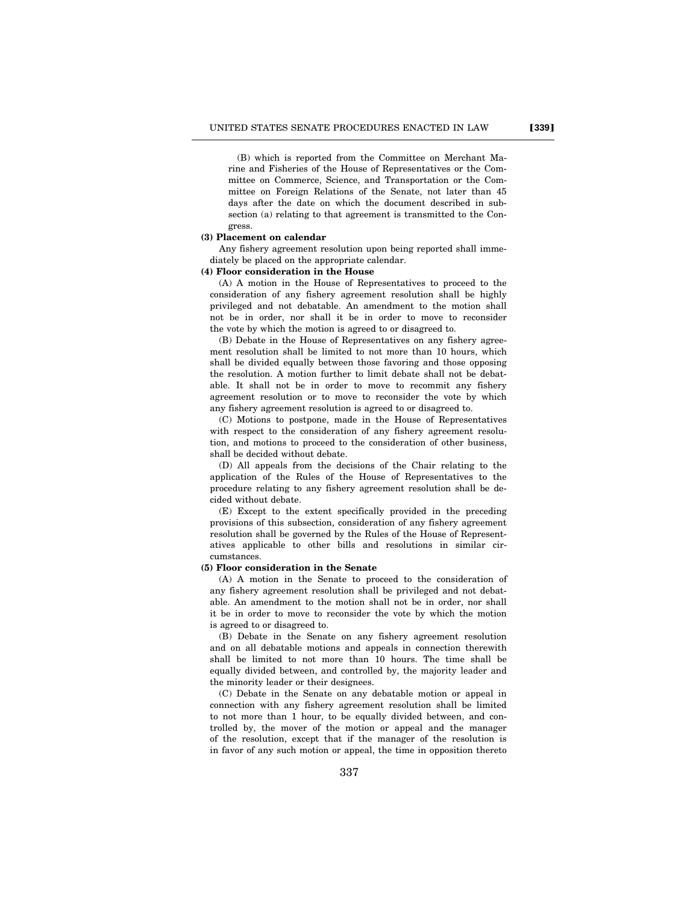(B) which is reported from the Committee on Merchant Marine and Fisheries of the House of Representatives or the Committee on Commerce, Science, and Transportation or the Committee on Foreign Relations of the Senate, not later than 45 days after the date on which the document described in subsection (a) relating to that agreement is transmitted to the Congress.

### **(3) Placement on calendar**

Any fishery agreement resolution upon being reported shall immediately be placed on the appropriate calendar.

## **(4) Floor consideration in the House**

(A) A motion in the House of Representatives to proceed to the consideration of any fishery agreement resolution shall be highly privileged and not debatable. An amendment to the motion shall not be in order, nor shall it be in order to move to reconsider the vote by which the motion is agreed to or disagreed to.

(B) Debate in the House of Representatives on any fishery agreement resolution shall be limited to not more than 10 hours, which shall be divided equally between those favoring and those opposing the resolution. A motion further to limit debate shall not be debatable. It shall not be in order to move to recommit any fishery agreement resolution or to move to reconsider the vote by which any fishery agreement resolution is agreed to or disagreed to.

(C) Motions to postpone, made in the House of Representatives with respect to the consideration of any fishery agreement resolution, and motions to proceed to the consideration of other business, shall be decided without debate.

(D) All appeals from the decisions of the Chair relating to the application of the Rules of the House of Representatives to the procedure relating to any fishery agreement resolution shall be decided without debate.

(E) Except to the extent specifically provided in the preceding provisions of this subsection, consideration of any fishery agreement resolution shall be governed by the Rules of the House of Representatives applicable to other bills and resolutions in similar circumstances.

#### **(5) Floor consideration in the Senate**

(A) A motion in the Senate to proceed to the consideration of any fishery agreement resolution shall be privileged and not debatable. An amendment to the motion shall not be in order, nor shall it be in order to move to reconsider the vote by which the motion is agreed to or disagreed to.

(B) Debate in the Senate on any fishery agreement resolution and on all debatable motions and appeals in connection therewith shall be limited to not more than 10 hours. The time shall be equally divided between, and controlled by, the majority leader and the minority leader or their designees.

(C) Debate in the Senate on any debatable motion or appeal in connection with any fishery agreement resolution shall be limited to not more than 1 hour, to be equally divided between, and controlled by, the mover of the motion or appeal and the manager of the resolution, except that if the manager of the resolution is in favor of any such motion or appeal, the time in opposition thereto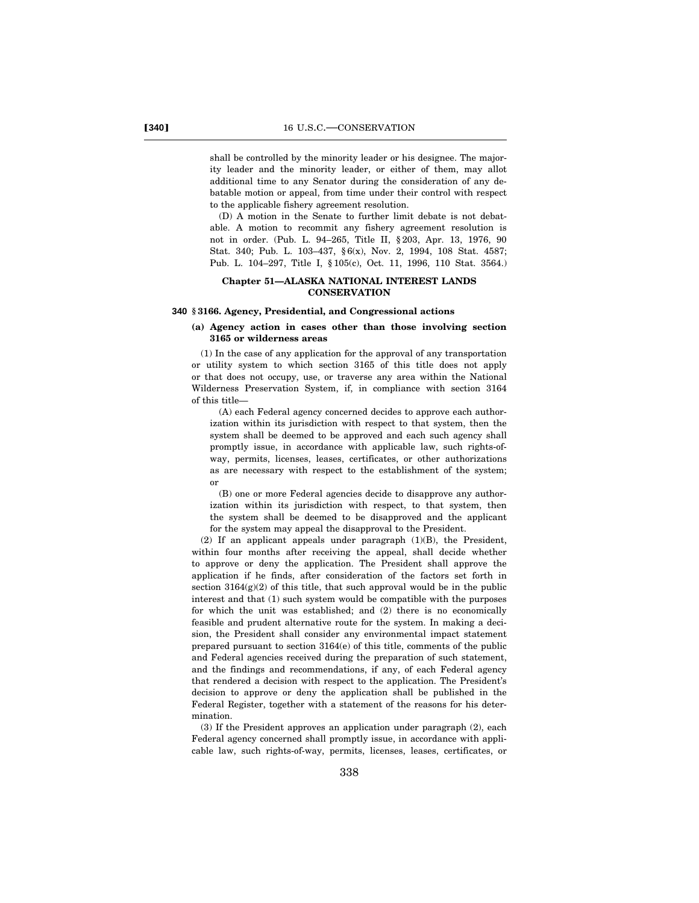shall be controlled by the minority leader or his designee. The majority leader and the minority leader, or either of them, may allot additional time to any Senator during the consideration of any debatable motion or appeal, from time under their control with respect to the applicable fishery agreement resolution.

(D) A motion in the Senate to further limit debate is not debatable. A motion to recommit any fishery agreement resolution is not in order. (Pub. L. 94–265, Title II, § 203, Apr. 13, 1976, 90 Stat. 340; Pub. L. 103–437, § 6(x), Nov. 2, 1994, 108 Stat. 4587; Pub. L. 104–297, Title I, § 105(c), Oct. 11, 1996, 110 Stat. 3564.)

## **Chapter 51—ALASKA NATIONAL INTEREST LANDS CONSERVATION**

### **340 § 3166. Agency, Presidential, and Congressional actions**

## **(a) Agency action in cases other than those involving section 3165 or wilderness areas**

(1) In the case of any application for the approval of any transportation or utility system to which section 3165 of this title does not apply or that does not occupy, use, or traverse any area within the National Wilderness Preservation System, if, in compliance with section 3164 of this title—

(A) each Federal agency concerned decides to approve each authorization within its jurisdiction with respect to that system, then the system shall be deemed to be approved and each such agency shall promptly issue, in accordance with applicable law, such rights-ofway, permits, licenses, leases, certificates, or other authorizations as are necessary with respect to the establishment of the system; or

(B) one or more Federal agencies decide to disapprove any authorization within its jurisdiction with respect, to that system, then the system shall be deemed to be disapproved and the applicant for the system may appeal the disapproval to the President.

(2) If an applicant appeals under paragraph (1)(B), the President, within four months after receiving the appeal, shall decide whether to approve or deny the application. The President shall approve the application if he finds, after consideration of the factors set forth in section  $3164(g)(2)$  of this title, that such approval would be in the public interest and that (1) such system would be compatible with the purposes for which the unit was established; and (2) there is no economically feasible and prudent alternative route for the system. In making a decision, the President shall consider any environmental impact statement prepared pursuant to section 3164(e) of this title, comments of the public and Federal agencies received during the preparation of such statement, and the findings and recommendations, if any, of each Federal agency that rendered a decision with respect to the application. The President's decision to approve or deny the application shall be published in the Federal Register, together with a statement of the reasons for his determination.

(3) If the President approves an application under paragraph (2), each Federal agency concerned shall promptly issue, in accordance with applicable law, such rights-of-way, permits, licenses, leases, certificates, or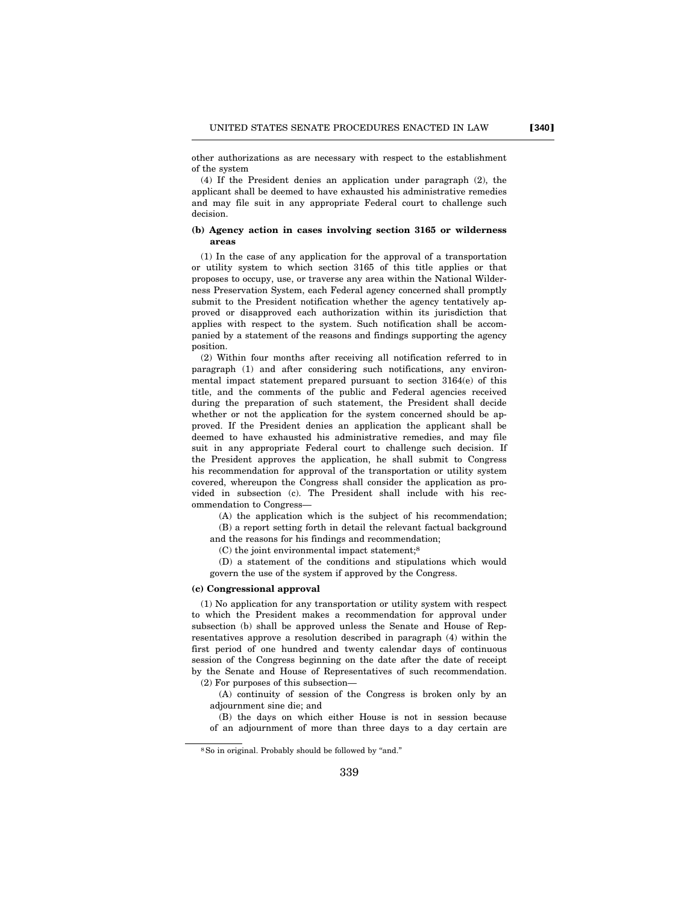other authorizations as are necessary with respect to the establishment of the system

(4) If the President denies an application under paragraph (2), the applicant shall be deemed to have exhausted his administrative remedies and may file suit in any appropriate Federal court to challenge such decision.

### **(b) Agency action in cases involving section 3165 or wilderness areas**

(1) In the case of any application for the approval of a transportation or utility system to which section 3165 of this title applies or that proposes to occupy, use, or traverse any area within the National Wilderness Preservation System, each Federal agency concerned shall promptly submit to the President notification whether the agency tentatively approved or disapproved each authorization within its jurisdiction that applies with respect to the system. Such notification shall be accompanied by a statement of the reasons and findings supporting the agency position.

(2) Within four months after receiving all notification referred to in paragraph (1) and after considering such notifications, any environmental impact statement prepared pursuant to section 3164(e) of this title, and the comments of the public and Federal agencies received during the preparation of such statement, the President shall decide whether or not the application for the system concerned should be approved. If the President denies an application the applicant shall be deemed to have exhausted his administrative remedies, and may file suit in any appropriate Federal court to challenge such decision. If the President approves the application, he shall submit to Congress his recommendation for approval of the transportation or utility system covered, whereupon the Congress shall consider the application as provided in subsection (c). The President shall include with his recommendation to Congress—

(A) the application which is the subject of his recommendation; (B) a report setting forth in detail the relevant factual background and the reasons for his findings and recommendation;

(C) the joint environmental impact statement;8

(D) a statement of the conditions and stipulations which would govern the use of the system if approved by the Congress.

#### **(c) Congressional approval**

(1) No application for any transportation or utility system with respect to which the President makes a recommendation for approval under subsection (b) shall be approved unless the Senate and House of Representatives approve a resolution described in paragraph (4) within the first period of one hundred and twenty calendar days of continuous session of the Congress beginning on the date after the date of receipt by the Senate and House of Representatives of such recommendation. (2) For purposes of this subsection—

(A) continuity of session of the Congress is broken only by an adjournment sine die; and

(B) the days on which either House is not in session because of an adjournment of more than three days to a day certain are

<sup>8</sup>So in original. Probably should be followed by ''and.''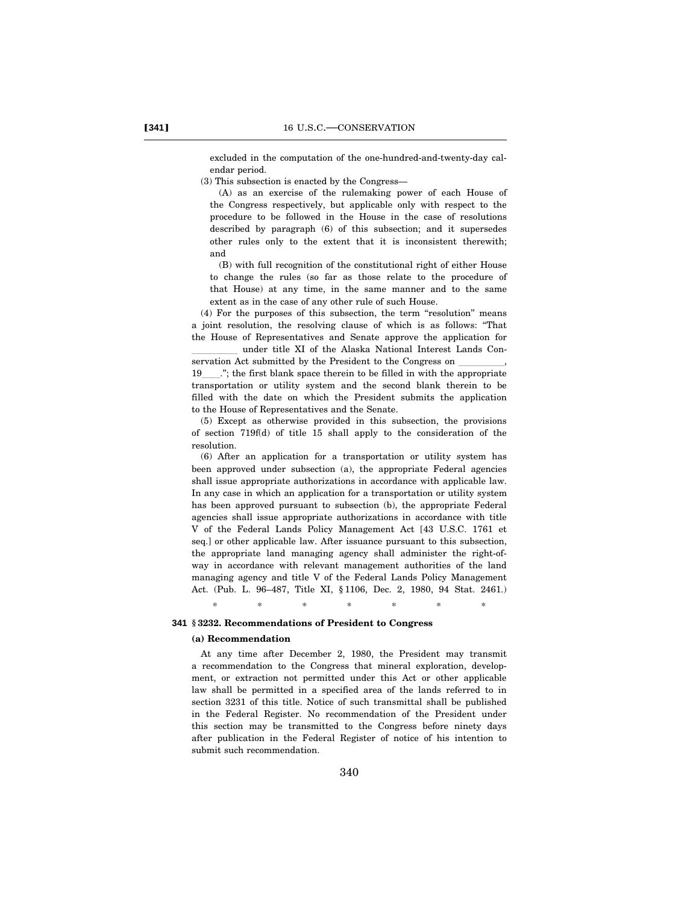excluded in the computation of the one-hundred-and-twenty-day calendar period.

(3) This subsection is enacted by the Congress—

(A) as an exercise of the rulemaking power of each House of the Congress respectively, but applicable only with respect to the procedure to be followed in the House in the case of resolutions described by paragraph (6) of this subsection; and it supersedes other rules only to the extent that it is inconsistent therewith; and

(B) with full recognition of the constitutional right of either House to change the rules (so far as those relate to the procedure of that House) at any time, in the same manner and to the same extent as in the case of any other rule of such House.

(4) For the purposes of this subsection, the term ''resolution'' means a joint resolution, the resolving clause of which is as follows: ''That the House of Representatives and Senate approve the application for under title XI of the Alaska National Interest Lands Conservation Act submitted by the President to the Congress on  $19 \quad$ ," the first blank space therein to be filled in with the  $\therefore$  the first blank space therein to be filled in with the appropriate transportation or utility system and the second blank therein to be filled with the date on which the President submits the application to the House of Representatives and the Senate.

(5) Except as otherwise provided in this subsection, the provisions of section 719f(d) of title 15 shall apply to the consideration of the resolution.

(6) After an application for a transportation or utility system has been approved under subsection (a), the appropriate Federal agencies shall issue appropriate authorizations in accordance with applicable law. In any case in which an application for a transportation or utility system has been approved pursuant to subsection (b), the appropriate Federal agencies shall issue appropriate authorizations in accordance with title V of the Federal Lands Policy Management Act [43 U.S.C. 1761 et seq.] or other applicable law. After issuance pursuant to this subsection, the appropriate land managing agency shall administer the right-ofway in accordance with relevant management authorities of the land managing agency and title V of the Federal Lands Policy Management Act. (Pub. L. 96–487, Title XI, § 1106, Dec. 2, 1980, 94 Stat. 2461.)

\* \* \* \* \* \* \*

## **341 § 3232. Recommendations of President to Congress**

#### **(a) Recommendation**

At any time after December 2, 1980, the President may transmit a recommendation to the Congress that mineral exploration, development, or extraction not permitted under this Act or other applicable law shall be permitted in a specified area of the lands referred to in section 3231 of this title. Notice of such transmittal shall be published in the Federal Register. No recommendation of the President under this section may be transmitted to the Congress before ninety days after publication in the Federal Register of notice of his intention to submit such recommendation.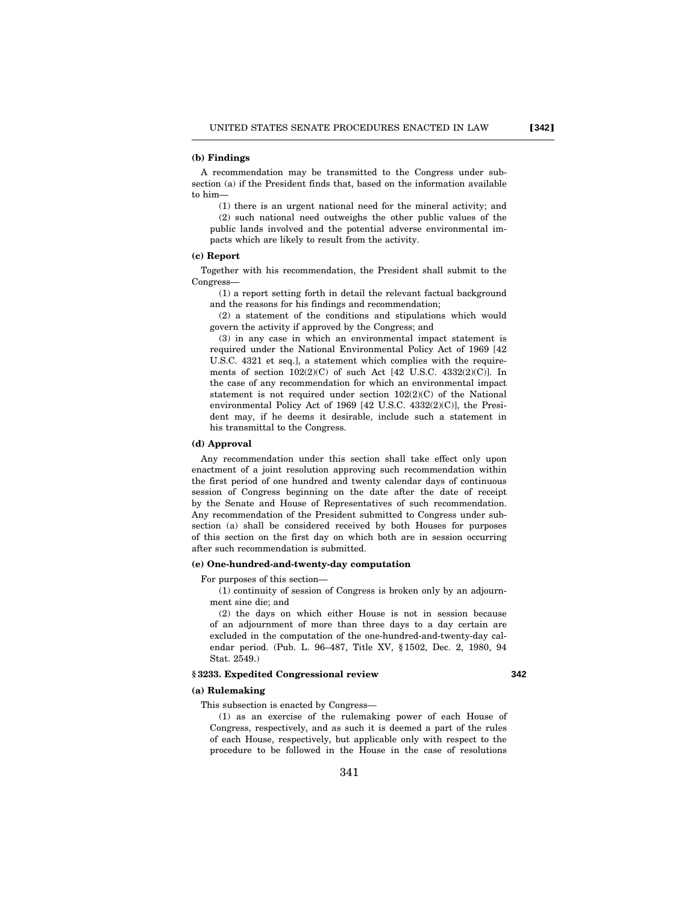### **(b) Findings**

A recommendation may be transmitted to the Congress under subsection (a) if the President finds that, based on the information available to him—

(1) there is an urgent national need for the mineral activity; and (2) such national need outweighs the other public values of the public lands involved and the potential adverse environmental impacts which are likely to result from the activity.

#### **(c) Report**

Together with his recommendation, the President shall submit to the Congress—

(1) a report setting forth in detail the relevant factual background and the reasons for his findings and recommendation;

(2) a statement of the conditions and stipulations which would govern the activity if approved by the Congress; and

(3) in any case in which an environmental impact statement is required under the National Environmental Policy Act of 1969 [42 U.S.C. 4321 et seq.], a statement which complies with the requirements of section  $102(2)(C)$  of such Act [42 U.S.C. 4332(2)(C)]. In the case of any recommendation for which an environmental impact statement is not required under section 102(2)(C) of the National environmental Policy Act of 1969 [42 U.S.C. 4332(2)(C)], the President may, if he deems it desirable, include such a statement in his transmittal to the Congress.

#### **(d) Approval**

Any recommendation under this section shall take effect only upon enactment of a joint resolution approving such recommendation within the first period of one hundred and twenty calendar days of continuous session of Congress beginning on the date after the date of receipt by the Senate and House of Representatives of such recommendation. Any recommendation of the President submitted to Congress under subsection (a) shall be considered received by both Houses for purposes of this section on the first day on which both are in session occurring after such recommendation is submitted.

## **(e) One-hundred-and-twenty-day computation**

For purposes of this section—

(1) continuity of session of Congress is broken only by an adjournment sine die; and

(2) the days on which either House is not in session because of an adjournment of more than three days to a day certain are excluded in the computation of the one-hundred-and-twenty-day calendar period. (Pub. L. 96–487, Title XV, § 1502, Dec. 2, 1980, 94 Stat. 2549.)

### **§ 3233. Expedited Congressional review 342**

#### **(a) Rulemaking**

This subsection is enacted by Congress—

(1) as an exercise of the rulemaking power of each House of Congress, respectively, and as such it is deemed a part of the rules of each House, respectively, but applicable only with respect to the procedure to be followed in the House in the case of resolutions

341